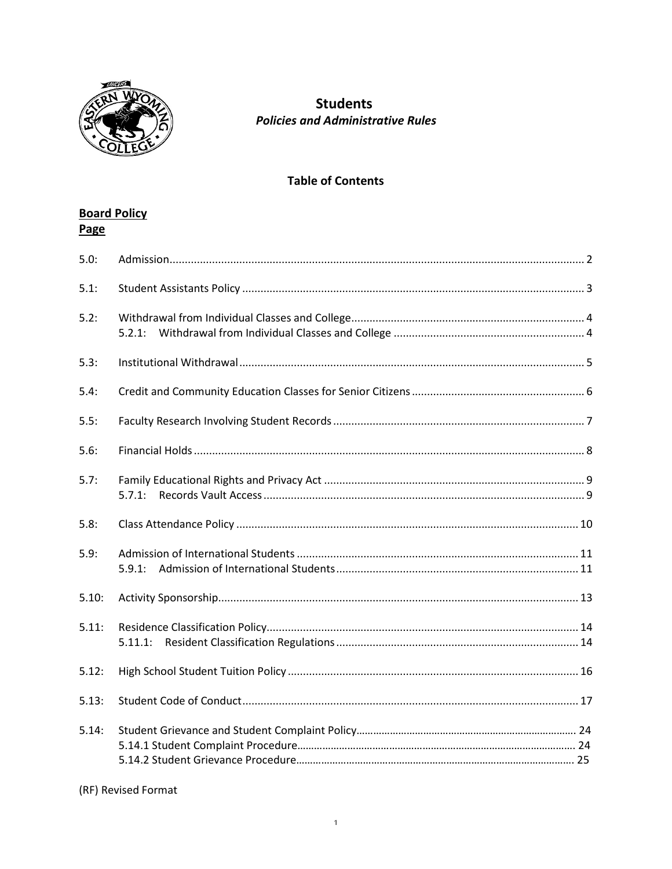

# **Students Policies and Administrative Rules**

# **Table of Contents**

# **Board Policy**

| Page  |         |
|-------|---------|
| 5.0:  |         |
| 5.1:  |         |
| 5.2:  |         |
| 5.3:  |         |
| 5.4:  |         |
| 5.5:  |         |
| 5.6:  |         |
| 5.7:  | 5.7.1:  |
| 5.8:  |         |
| 5.9:  | 5.9.1:  |
| 5.10: |         |
| 5.11: | 5.11.1: |
| 5.12: |         |
| 5.13: |         |
| 5.14: |         |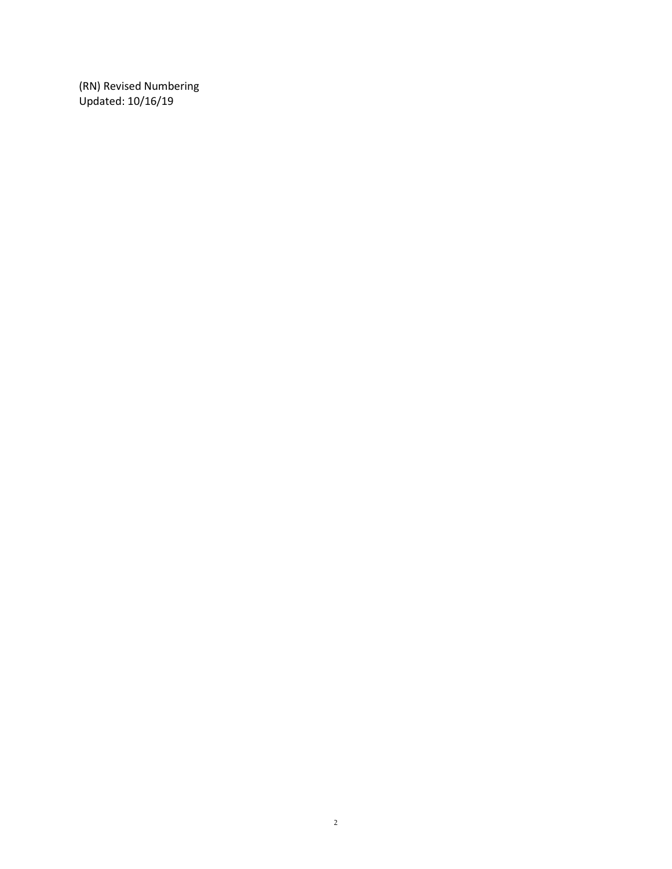(RN) Revised Numbering Updated: 10/16/19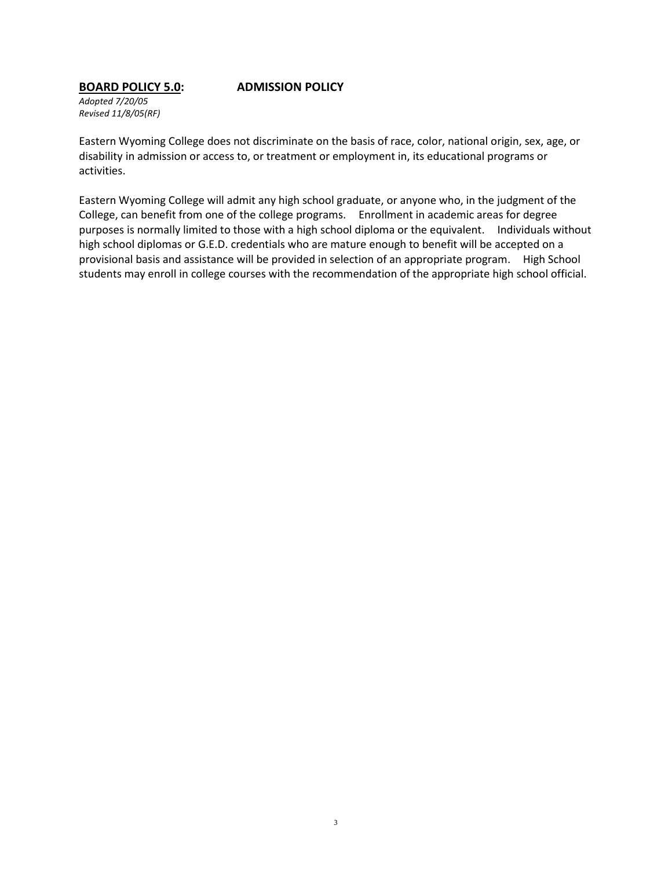### **BOARD POLICY 5.0: ADMISSION POLICY**

*Adopted 7/20/05 Revised 11/8/05(RF)*

Eastern Wyoming College does not discriminate on the basis of race, color, national origin, sex, age, or disability in admission or access to, or treatment or employment in, its educational programs or activities.

Eastern Wyoming College will admit any high school graduate, or anyone who, in the judgment of the College, can benefit from one of the college programs. Enrollment in academic areas for degree purposes is normally limited to those with a high school diploma or the equivalent. Individuals without high school diplomas or G.E.D. credentials who are mature enough to benefit will be accepted on a provisional basis and assistance will be provided in selection of an appropriate program. High School students may enroll in college courses with the recommendation of the appropriate high school official.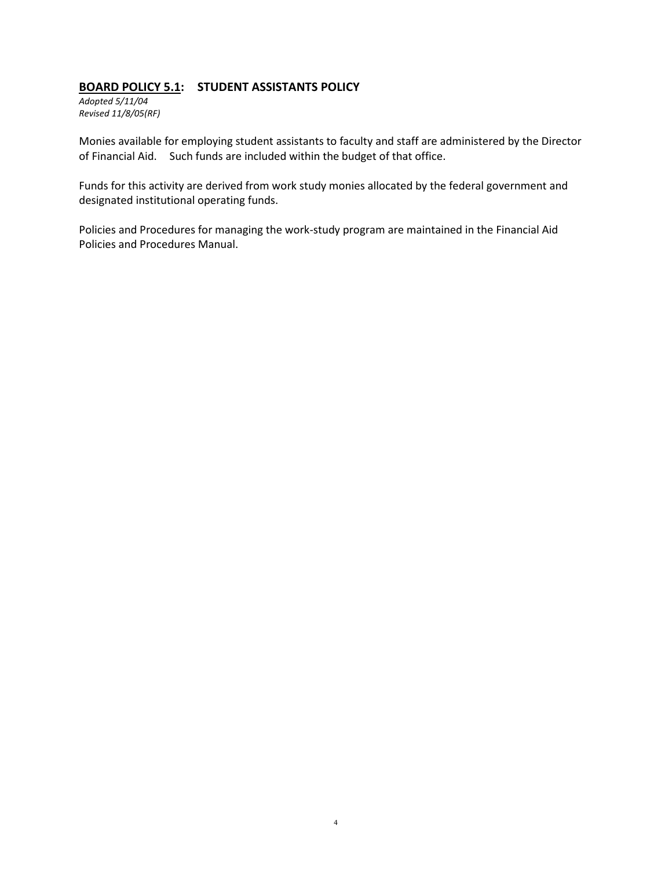## **BOARD POLICY 5.1: STUDENT ASSISTANTS POLICY**

*Adopted 5/11/04 Revised 11/8/05(RF)*

Monies available for employing student assistants to faculty and staff are administered by the Director of Financial Aid. Such funds are included within the budget of that office.

Funds for this activity are derived from work study monies allocated by the federal government and designated institutional operating funds.

Policies and Procedures for managing the work-study program are maintained in the Financial Aid Policies and Procedures Manual.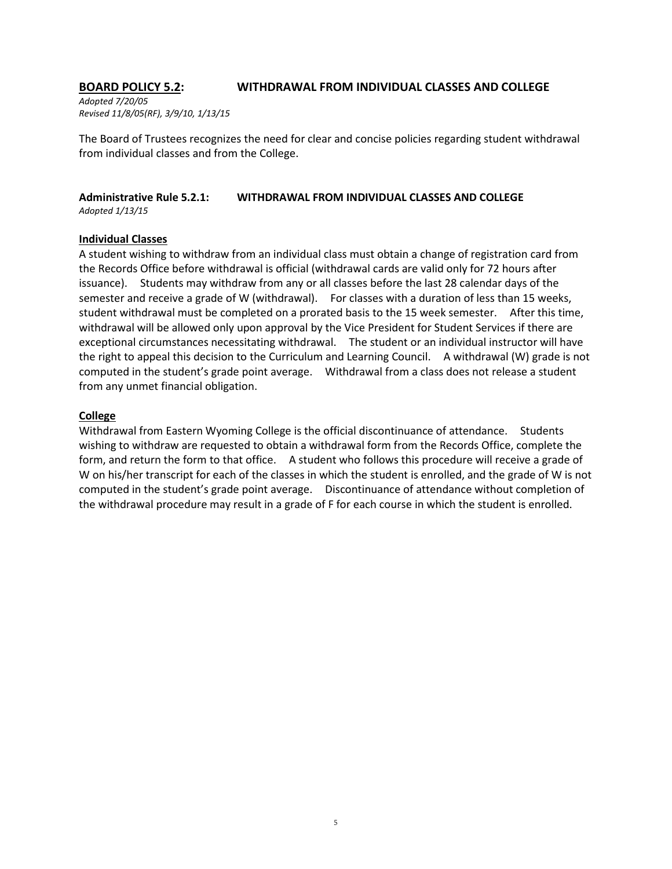# **BOARD POLICY 5.2: WITHDRAWAL FROM INDIVIDUAL CLASSES AND COLLEGE**

*Adopted 7/20/05 Revised 11/8/05(RF), 3/9/10, 1/13/15*

The Board of Trustees recognizes the need for clear and concise policies regarding student withdrawal from individual classes and from the College.

### **Administrative Rule 5.2.1: WITHDRAWAL FROM INDIVIDUAL CLASSES AND COLLEGE** *Adopted 1/13/15*

### **Individual Classes**

A student wishing to withdraw from an individual class must obtain a change of registration card from the Records Office before withdrawal is official (withdrawal cards are valid only for 72 hours after issuance). Students may withdraw from any or all classes before the last 28 calendar days of the semester and receive a grade of W (withdrawal). For classes with a duration of less than 15 weeks, student withdrawal must be completed on a prorated basis to the 15 week semester. After this time, withdrawal will be allowed only upon approval by the Vice President for Student Services if there are exceptional circumstances necessitating withdrawal. The student or an individual instructor will have the right to appeal this decision to the Curriculum and Learning Council. A withdrawal (W) grade is not computed in the student's grade point average. Withdrawal from a class does not release a student from any unmet financial obligation.

### **College**

Withdrawal from Eastern Wyoming College is the official discontinuance of attendance. Students wishing to withdraw are requested to obtain a withdrawal form from the Records Office, complete the form, and return the form to that office. A student who follows this procedure will receive a grade of W on his/her transcript for each of the classes in which the student is enrolled, and the grade of W is not computed in the student's grade point average. Discontinuance of attendance without completion of the withdrawal procedure may result in a grade of F for each course in which the student is enrolled.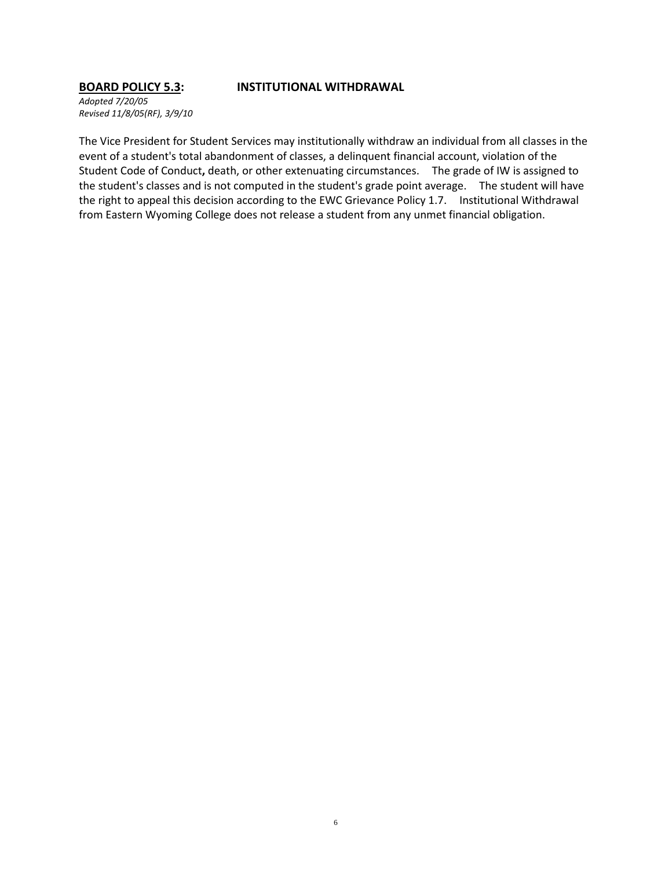### **BOARD POLICY 5.3: INSTITUTIONAL WITHDRAWAL**

*Adopted 7/20/05 Revised 11/8/05(RF), 3/9/10*

The Vice President for Student Services may institutionally withdraw an individual from all classes in the event of a student's total abandonment of classes, a delinquent financial account, violation of the Student Code of Conduct**,** death, or other extenuating circumstances. The grade of IW is assigned to the student's classes and is not computed in the student's grade point average. The student will have the right to appeal this decision according to the EWC Grievance Policy 1.7. Institutional Withdrawal from Eastern Wyoming College does not release a student from any unmet financial obligation.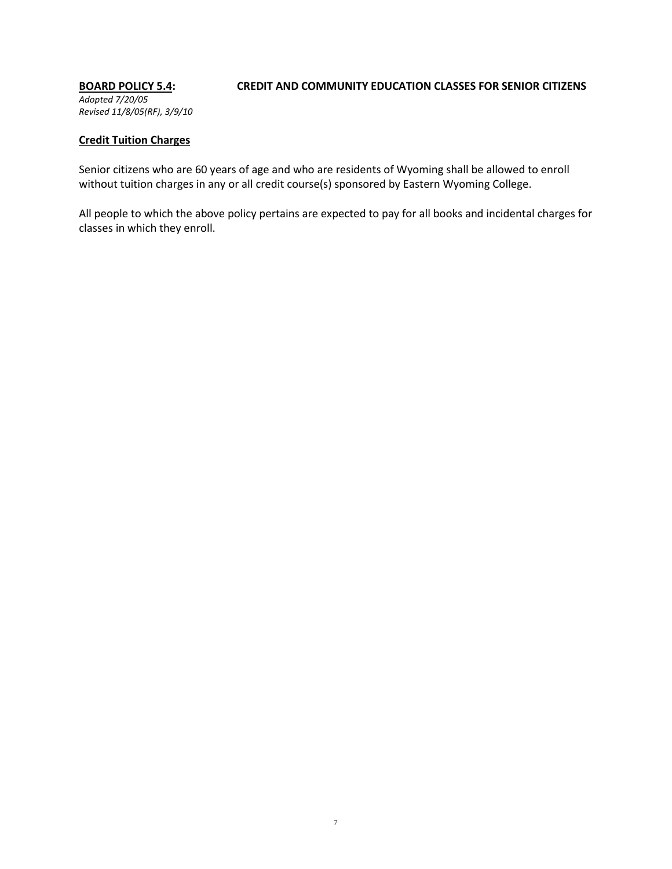# *Adopted 7/20/05 Revised 11/8/05(RF), 3/9/10*

# **BOARD POLICY 5.4: CREDIT AND COMMUNITY EDUCATION CLASSES FOR SENIOR CITIZENS**

### **Credit Tuition Charges**

Senior citizens who are 60 years of age and who are residents of Wyoming shall be allowed to enroll without tuition charges in any or all credit course(s) sponsored by Eastern Wyoming College.

All people to which the above policy pertains are expected to pay for all books and incidental charges for classes in which they enroll.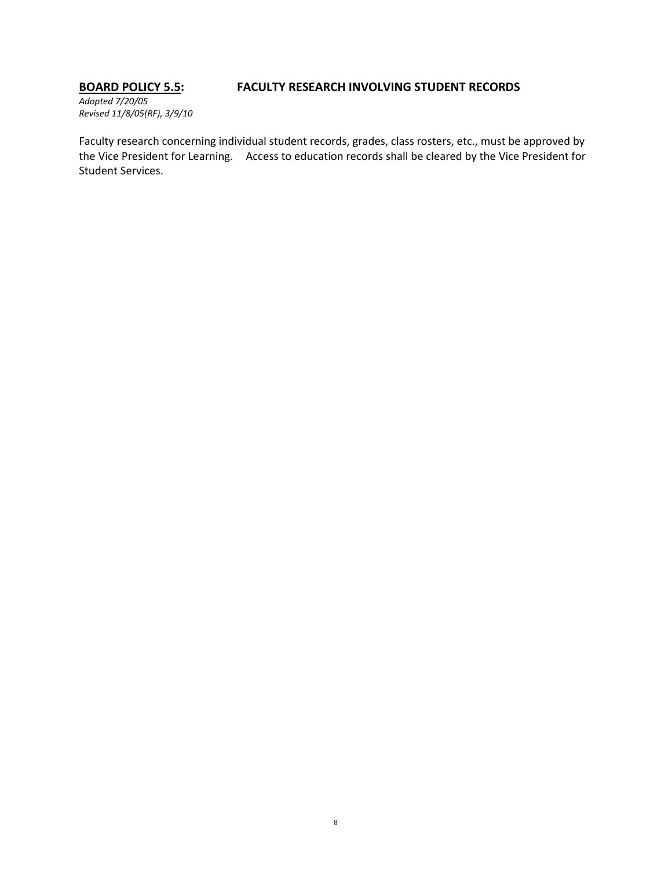# **BOARD POLICY 5.5: FACULTY RESEARCH INVOLVING STUDENT RECORDS**

*Adopted 7/20/05 Revised 11/8/05(RF), 3/9/10*

Faculty research concerning individual student records, grades, class rosters, etc., must be approved by the Vice President for Learning. Access to education records shall be cleared by the Vice President for Student Services.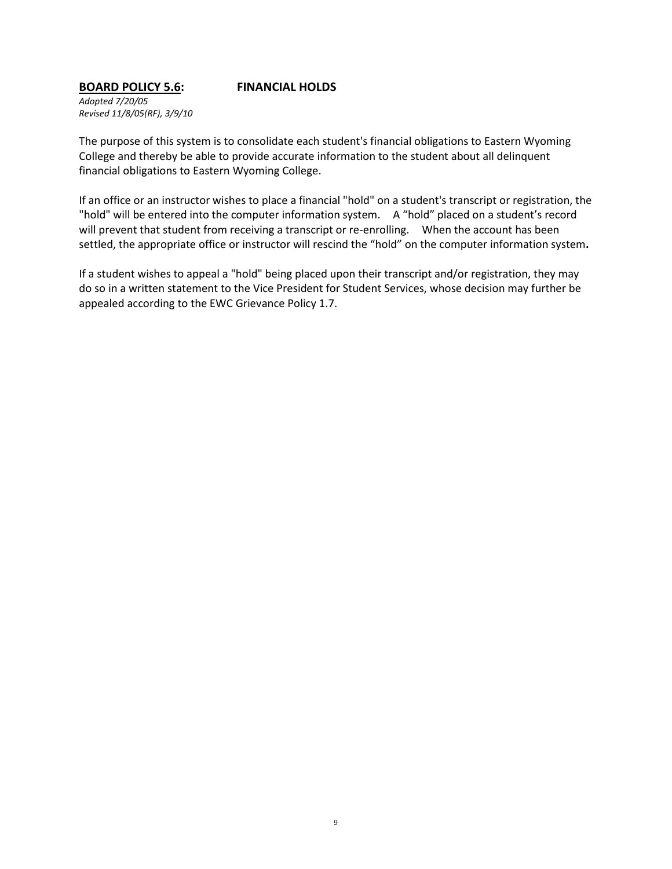# **BOARD POLICY 5.6: FINANCIAL HOLDS**

*Adopted 7/20/05 Revised 11/8/05(RF), 3/9/10*

The purpose of this system is to consolidate each student's financial obligations to Eastern Wyoming College and thereby be able to provide accurate information to the student about all delinquent financial obligations to Eastern Wyoming College.

If an office or an instructor wishes to place a financial "hold" on a student's transcript or registration, the "hold" will be entered into the computer information system. A "hold" placed on a student's record will prevent that student from receiving a transcript or re-enrolling. When the account has been settled, the appropriate office or instructor will rescind the "hold" on the computer information system**.**

If a student wishes to appeal a "hold" being placed upon their transcript and/or registration, they may do so in a written statement to the Vice President for Student Services, whose decision may further be appealed according to the EWC Grievance Policy 1.7.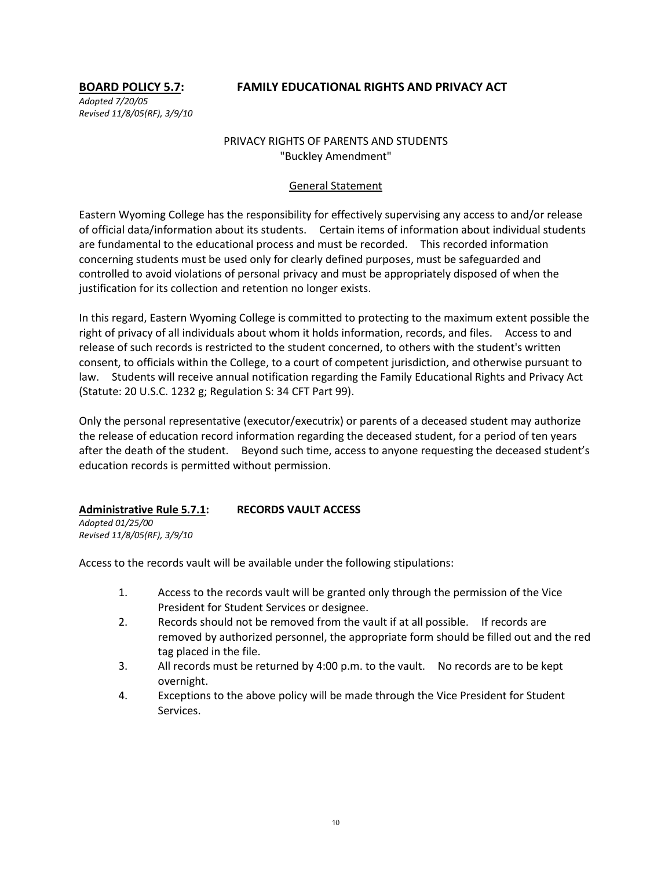# **BOARD POLICY 5.7: FAMILY EDUCATIONAL RIGHTS AND PRIVACY ACT**

*Adopted 7/20/05 Revised 11/8/05(RF), 3/9/10*

# PRIVACY RIGHTS OF PARENTS AND STUDENTS "Buckley Amendment"

# General Statement

Eastern Wyoming College has the responsibility for effectively supervising any access to and/or release of official data/information about its students. Certain items of information about individual students are fundamental to the educational process and must be recorded. This recorded information concerning students must be used only for clearly defined purposes, must be safeguarded and controlled to avoid violations of personal privacy and must be appropriately disposed of when the justification for its collection and retention no longer exists.

In this regard, Eastern Wyoming College is committed to protecting to the maximum extent possible the right of privacy of all individuals about whom it holds information, records, and files. Access to and release of such records is restricted to the student concerned, to others with the student's written consent, to officials within the College, to a court of competent jurisdiction, and otherwise pursuant to law. Students will receive annual notification regarding the Family Educational Rights and Privacy Act (Statute: 20 U.S.C. 1232 g; Regulation S: 34 CFT Part 99).

Only the personal representative (executor/executrix) or parents of a deceased student may authorize the release of education record information regarding the deceased student, for a period of ten years after the death of the student. Beyond such time, access to anyone requesting the deceased student's education records is permitted without permission.

# **Administrative Rule 5.7.1: RECORDS VAULT ACCESS**

*Adopted 01/25/00 Revised 11/8/05(RF), 3/9/10*

Access to the records vault will be available under the following stipulations:

- 1. Access to the records vault will be granted only through the permission of the Vice President for Student Services or designee.
- 2. Records should not be removed from the vault if at all possible. If records are removed by authorized personnel, the appropriate form should be filled out and the red tag placed in the file.
- 3. All records must be returned by 4:00 p.m. to the vault. No records are to be kept overnight.
- 4. Exceptions to the above policy will be made through the Vice President for Student Services.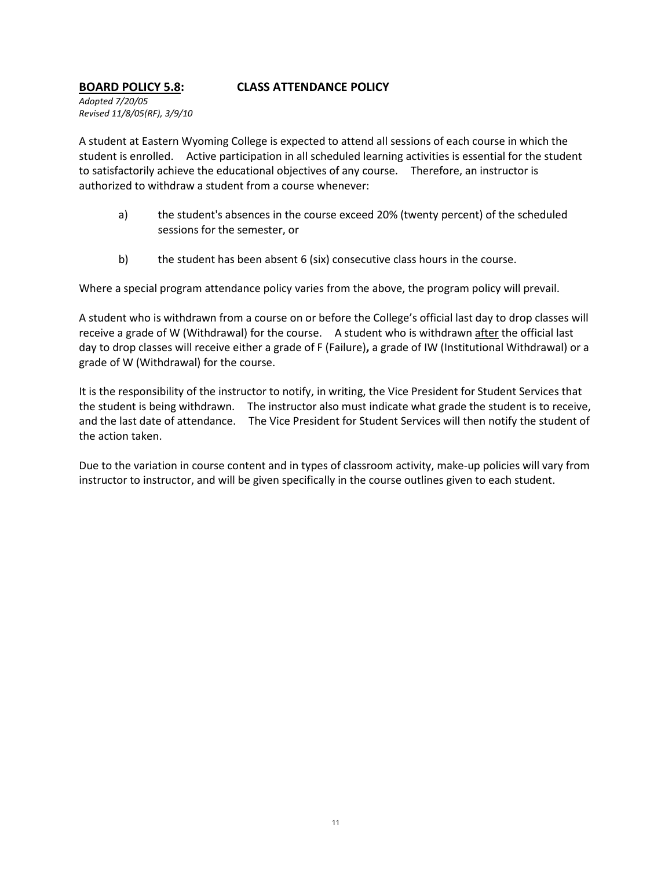## **BOARD POLICY 5.8: CLASS ATTENDANCE POLICY**

*Adopted 7/20/05 Revised 11/8/05(RF), 3/9/10*

A student at Eastern Wyoming College is expected to attend all sessions of each course in which the student is enrolled. Active participation in all scheduled learning activities is essential for the student to satisfactorily achieve the educational objectives of any course. Therefore, an instructor is authorized to withdraw a student from a course whenever:

- a) the student's absences in the course exceed 20% (twenty percent) of the scheduled sessions for the semester, or
- b) the student has been absent 6 (six) consecutive class hours in the course.

Where a special program attendance policy varies from the above, the program policy will prevail.

A student who is withdrawn from a course on or before the College's official last day to drop classes will receive a grade of W (Withdrawal) for the course. A student who is withdrawn after the official last day to drop classes will receive either a grade of F (Failure)**,** a grade of IW (Institutional Withdrawal) or a grade of W (Withdrawal) for the course.

It is the responsibility of the instructor to notify, in writing, the Vice President for Student Services that the student is being withdrawn. The instructor also must indicate what grade the student is to receive, and the last date of attendance. The Vice President for Student Services will then notify the student of the action taken.

Due to the variation in course content and in types of classroom activity, make-up policies will vary from instructor to instructor, and will be given specifically in the course outlines given to each student.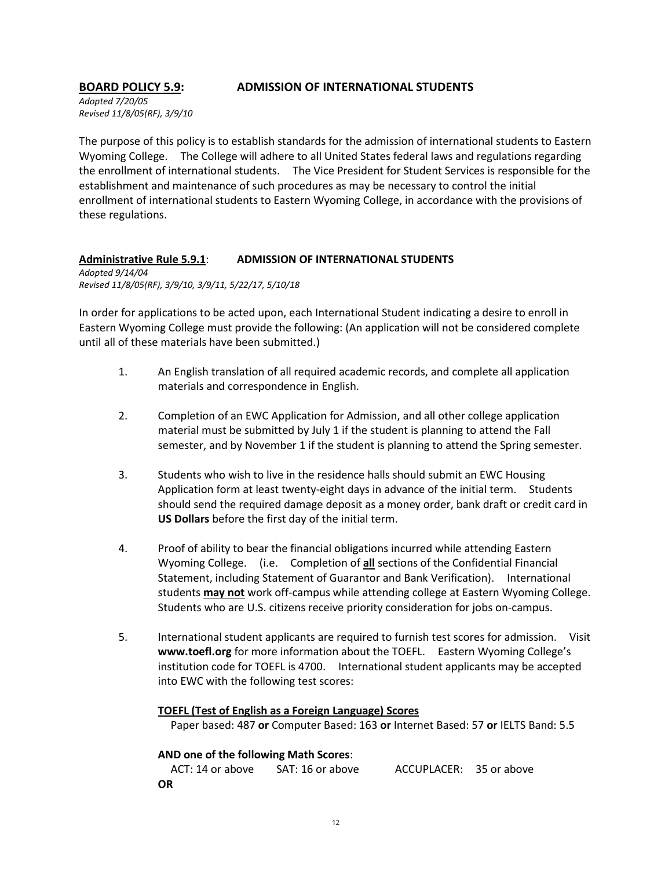### **BOARD POLICY 5.9: ADMISSION OF INTERNATIONAL STUDENTS**

*Adopted 7/20/05 Revised 11/8/05(RF), 3/9/10*

The purpose of this policy is to establish standards for the admission of international students to Eastern Wyoming College. The College will adhere to all United States federal laws and regulations regarding the enrollment of international students. The Vice President for Student Services is responsible for the establishment and maintenance of such procedures as may be necessary to control the initial enrollment of international students to Eastern Wyoming College, in accordance with the provisions of these regulations.

### **Administrative Rule 5.9.1**: **ADMISSION OF INTERNATIONAL STUDENTS**

*Adopted 9/14/04 Revised 11/8/05(RF), 3/9/10, 3/9/11, 5/22/17, 5/10/18*

In order for applications to be acted upon, each International Student indicating a desire to enroll in Eastern Wyoming College must provide the following: (An application will not be considered complete until all of these materials have been submitted.)

- 1. An English translation of all required academic records, and complete all application materials and correspondence in English.
- 2. Completion of an EWC Application for Admission, and all other college application material must be submitted by July 1 if the student is planning to attend the Fall semester, and by November 1 if the student is planning to attend the Spring semester.
- 3. Students who wish to live in the residence halls should submit an EWC Housing Application form at least twenty-eight days in advance of the initial term. Students should send the required damage deposit as a money order, bank draft or credit card in **US Dollars** before the first day of the initial term.
- 4. Proof of ability to bear the financial obligations incurred while attending Eastern Wyoming College. (i.e. Completion of **all** sections of the Confidential Financial Statement, including Statement of Guarantor and Bank Verification). International students **may not** work off-campus while attending college at Eastern Wyoming College. Students who are U.S. citizens receive priority consideration for jobs on-campus.
- 5. International student applicants are required to furnish test scores for admission. Visit **www.toefl.org** for more information about the TOEFL. Eastern Wyoming College's institution code for TOEFL is 4700. International student applicants may be accepted into EWC with the following test scores:

### **TOEFL (Test of English as a Foreign Language) Scores**

Paper based: 487 **or** Computer Based: 163 **or** Internet Based: 57 **or** IELTS Band: 5.5

# **AND one of the following Math Scores**:

 ACT: 14 or above SAT: 16 or above ACCUPLACER: 35 or above **OR**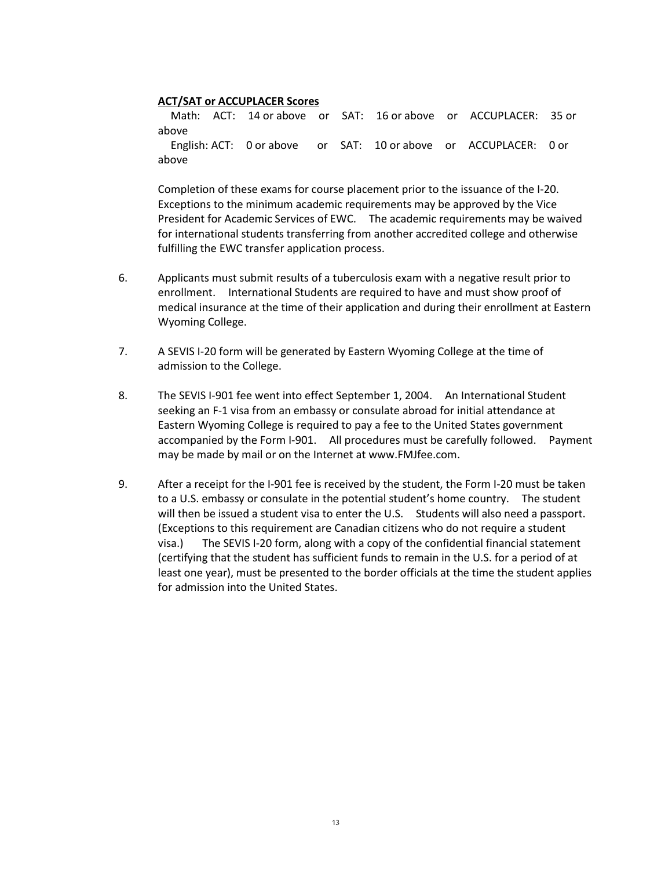### **ACT/SAT or ACCUPLACER Scores**

 Math: ACT: 14 or above or SAT: 16 or above or ACCUPLACER: 35 or above English: ACT: 0 or above or SAT: 10 or above or ACCUPLACER: 0 or above

Completion of these exams for course placement prior to the issuance of the I-20. Exceptions to the minimum academic requirements may be approved by the Vice President for Academic Services of EWC. The academic requirements may be waived for international students transferring from another accredited college and otherwise fulfilling the EWC transfer application process.

- 6. Applicants must submit results of a tuberculosis exam with a negative result prior to enrollment. International Students are required to have and must show proof of medical insurance at the time of their application and during their enrollment at Eastern Wyoming College.
- 7. A SEVIS I-20 form will be generated by Eastern Wyoming College at the time of admission to the College.
- 8. The SEVIS I-901 fee went into effect September 1, 2004. An International Student seeking an F-1 visa from an embassy or consulate abroad for initial attendance at Eastern Wyoming College is required to pay a fee to the United States government accompanied by the Form I-901. All procedures must be carefully followed. Payment may be made by mail or on the Internet at www.FMJfee.com.
- 9. After a receipt for the I-901 fee is received by the student, the Form I-20 must be taken to a U.S. embassy or consulate in the potential student's home country. The student will then be issued a student visa to enter the U.S. Students will also need a passport. (Exceptions to this requirement are Canadian citizens who do not require a student visa.) The SEVIS I-20 form, along with a copy of the confidential financial statement (certifying that the student has sufficient funds to remain in the U.S. for a period of at least one year), must be presented to the border officials at the time the student applies for admission into the United States.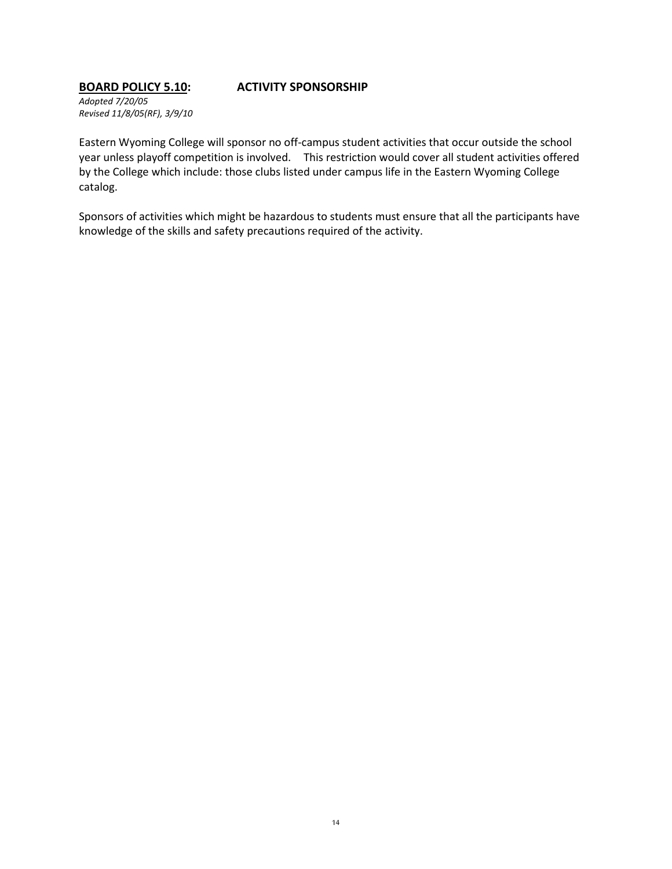### **BOARD POLICY 5.10: ACTIVITY SPONSORSHIP**

*Adopted 7/20/05 Revised 11/8/05(RF), 3/9/10*

Eastern Wyoming College will sponsor no off-campus student activities that occur outside the school year unless playoff competition is involved. This restriction would cover all student activities offered by the College which include: those clubs listed under campus life in the Eastern Wyoming College catalog.

Sponsors of activities which might be hazardous to students must ensure that all the participants have knowledge of the skills and safety precautions required of the activity.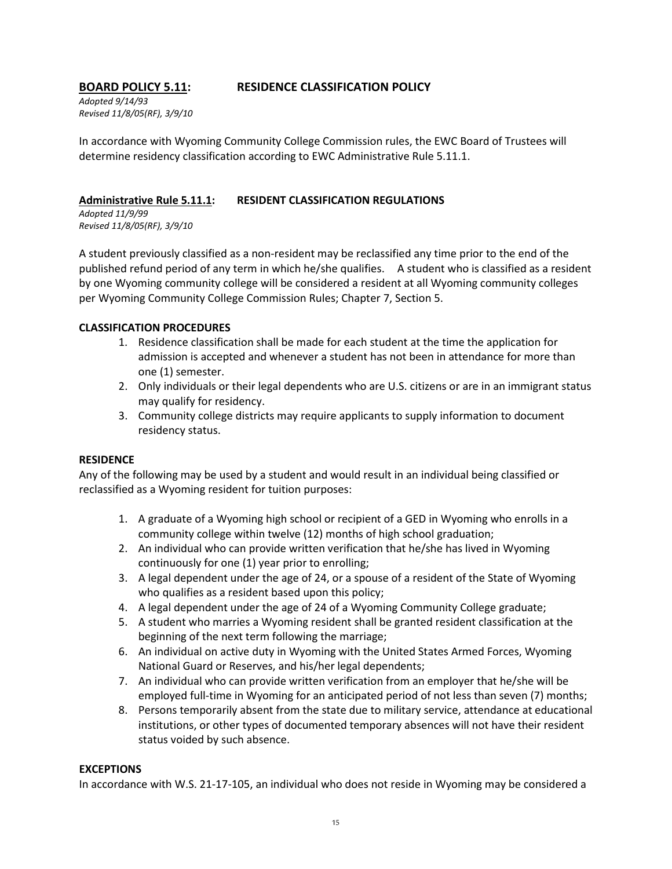# **BOARD POLICY 5.11: RESIDENCE CLASSIFICATION POLICY**

*Adopted 9/14/93 Revised 11/8/05(RF), 3/9/10*

In accordance with Wyoming Community College Commission rules, the EWC Board of Trustees will determine residency classification according to EWC Administrative Rule 5.11.1.

### **Administrative Rule 5.11.1: RESIDENT CLASSIFICATION REGULATIONS**

*Adopted 11/9/99 Revised 11/8/05(RF), 3/9/10*

A student previously classified as a non-resident may be reclassified any time prior to the end of the published refund period of any term in which he/she qualifies. A student who is classified as a resident by one Wyoming community college will be considered a resident at all Wyoming community colleges per Wyoming Community College Commission Rules; Chapter 7, Section 5.

# **CLASSIFICATION PROCEDURES**

- 1. Residence classification shall be made for each student at the time the application for admission is accepted and whenever a student has not been in attendance for more than one (1) semester.
- 2. Only individuals or their legal dependents who are U.S. citizens or are in an immigrant status may qualify for residency.
- 3. Community college districts may require applicants to supply information to document residency status.

### **RESIDENCE**

Any of the following may be used by a student and would result in an individual being classified or reclassified as a Wyoming resident for tuition purposes:

- 1. A graduate of a Wyoming high school or recipient of a GED in Wyoming who enrolls in a community college within twelve (12) months of high school graduation;
- 2. An individual who can provide written verification that he/she has lived in Wyoming continuously for one (1) year prior to enrolling;
- 3. A legal dependent under the age of 24, or a spouse of a resident of the State of Wyoming who qualifies as a resident based upon this policy;
- 4. A legal dependent under the age of 24 of a Wyoming Community College graduate;
- 5. A student who marries a Wyoming resident shall be granted resident classification at the beginning of the next term following the marriage;
- 6. An individual on active duty in Wyoming with the United States Armed Forces, Wyoming National Guard or Reserves, and his/her legal dependents;
- 7. An individual who can provide written verification from an employer that he/she will be employed full-time in Wyoming for an anticipated period of not less than seven (7) months;
- 8. Persons temporarily absent from the state due to military service, attendance at educational institutions, or other types of documented temporary absences will not have their resident status voided by such absence.

### **EXCEPTIONS**

In accordance with W.S. 21-17-105, an individual who does not reside in Wyoming may be considered a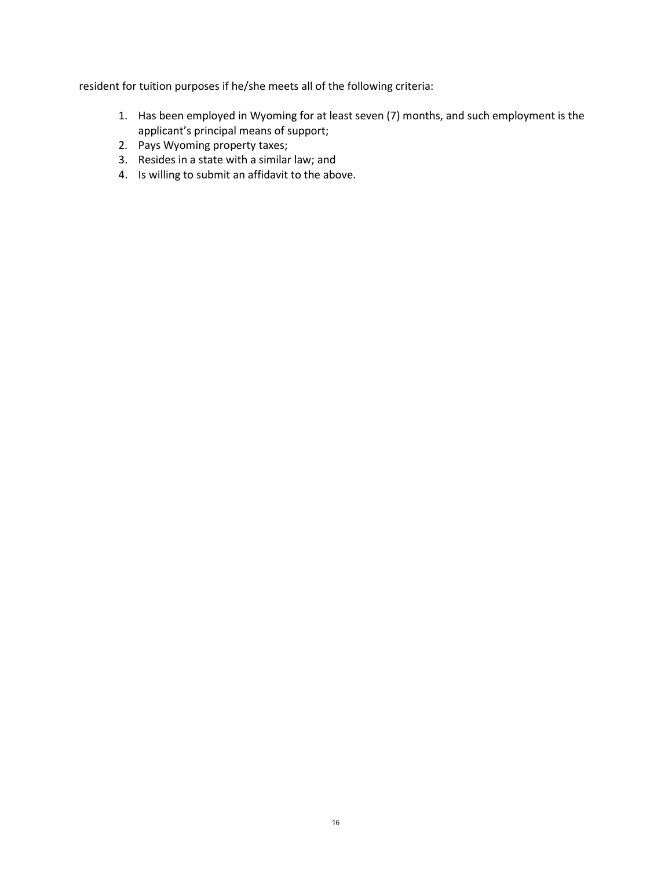resident for tuition purposes if he/she meets all of the following criteria:

- 1. Has been employed in Wyoming for at least seven (7) months, and such employment is the applicant's principal means of support;
- 2. Pays Wyoming property taxes;
- 3. Resides in a state with a similar law; and
- 4. Is willing to submit an affidavit to the above.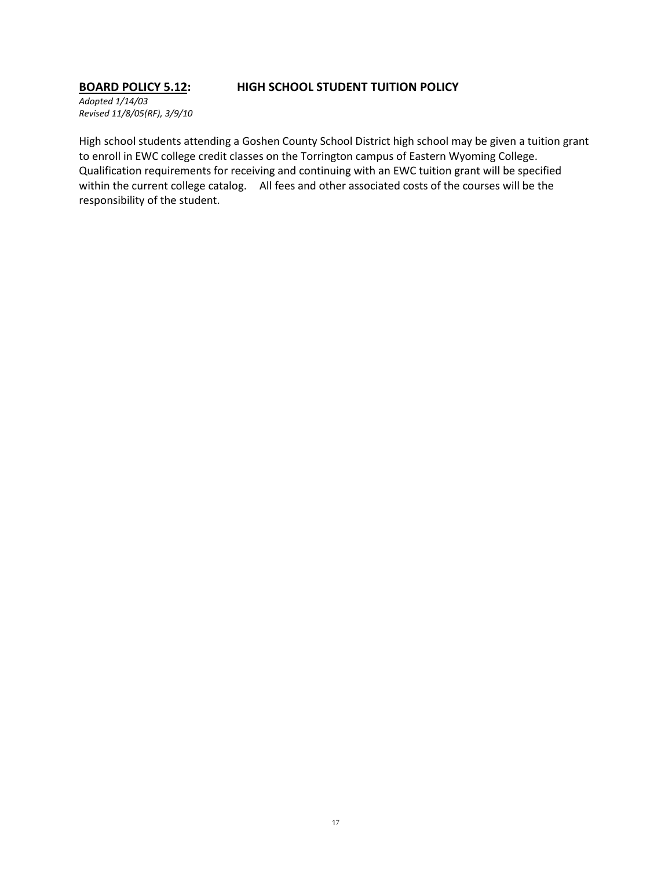### **BOARD POLICY 5.12: HIGH SCHOOL STUDENT TUITION POLICY**

*Adopted 1/14/03 Revised 11/8/05(RF), 3/9/10*

High school students attending a Goshen County School District high school may be given a tuition grant to enroll in EWC college credit classes on the Torrington campus of Eastern Wyoming College. Qualification requirements for receiving and continuing with an EWC tuition grant will be specified within the current college catalog. All fees and other associated costs of the courses will be the responsibility of the student.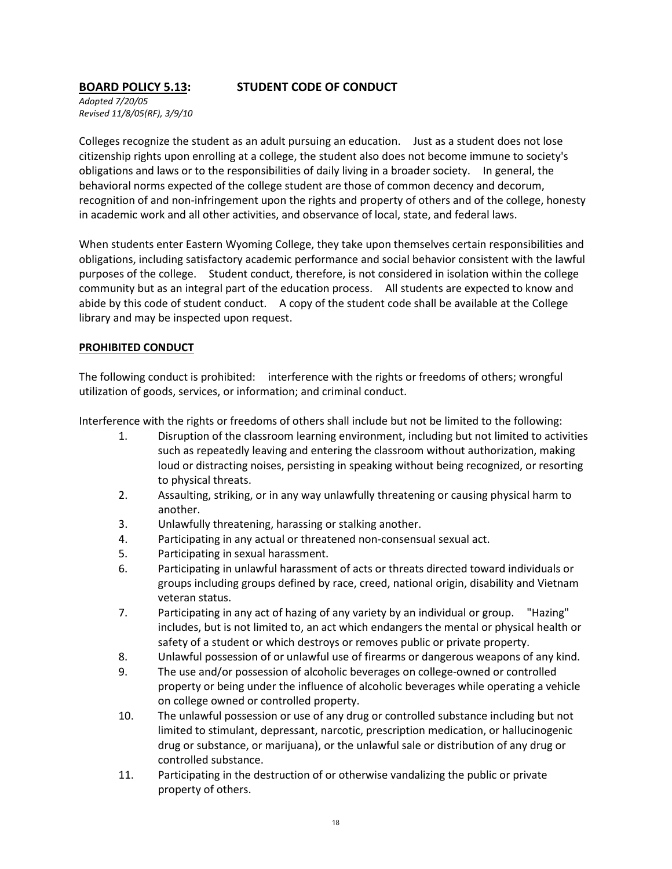# **BOARD POLICY 5.13: STUDENT CODE OF CONDUCT**

*Adopted 7/20/05 Revised 11/8/05(RF), 3/9/10*

Colleges recognize the student as an adult pursuing an education. Just as a student does not lose citizenship rights upon enrolling at a college, the student also does not become immune to society's obligations and laws or to the responsibilities of daily living in a broader society. In general, the behavioral norms expected of the college student are those of common decency and decorum, recognition of and non-infringement upon the rights and property of others and of the college, honesty in academic work and all other activities, and observance of local, state, and federal laws.

When students enter Eastern Wyoming College, they take upon themselves certain responsibilities and obligations, including satisfactory academic performance and social behavior consistent with the lawful purposes of the college. Student conduct, therefore, is not considered in isolation within the college community but as an integral part of the education process. All students are expected to know and abide by this code of student conduct. A copy of the student code shall be available at the College library and may be inspected upon request.

### **PROHIBITED CONDUCT**

The following conduct is prohibited: interference with the rights or freedoms of others; wrongful utilization of goods, services, or information; and criminal conduct.

Interference with the rights or freedoms of others shall include but not be limited to the following:

- 1. Disruption of the classroom learning environment, including but not limited to activities such as repeatedly leaving and entering the classroom without authorization, making loud or distracting noises, persisting in speaking without being recognized, or resorting to physical threats.
- 2. Assaulting, striking, or in any way unlawfully threatening or causing physical harm to another.
- 3. Unlawfully threatening, harassing or stalking another.
- 4. Participating in any actual or threatened non-consensual sexual act.
- 5. Participating in sexual harassment.
- 6. Participating in unlawful harassment of acts or threats directed toward individuals or groups including groups defined by race, creed, national origin, disability and Vietnam veteran status.
- 7. Participating in any act of hazing of any variety by an individual or group. "Hazing" includes, but is not limited to, an act which endangers the mental or physical health or safety of a student or which destroys or removes public or private property.
- 8. Unlawful possession of or unlawful use of firearms or dangerous weapons of any kind.
- 9. The use and/or possession of alcoholic beverages on college-owned or controlled property or being under the influence of alcoholic beverages while operating a vehicle on college owned or controlled property.
- 10. The unlawful possession or use of any drug or controlled substance including but not limited to stimulant, depressant, narcotic, prescription medication, or hallucinogenic drug or substance, or marijuana), or the unlawful sale or distribution of any drug or controlled substance.
- 11. Participating in the destruction of or otherwise vandalizing the public or private property of others.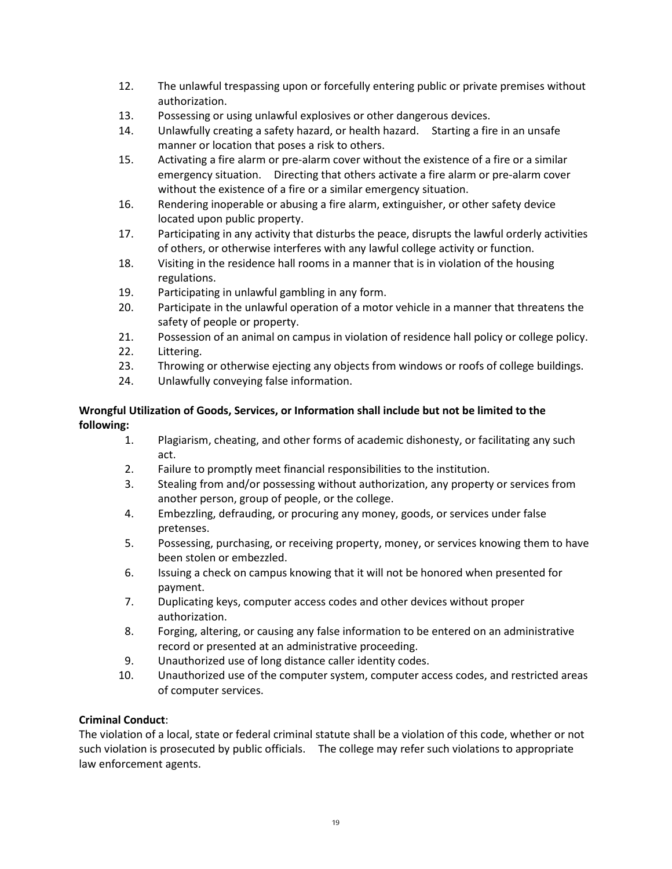- 12. The unlawful trespassing upon or forcefully entering public or private premises without authorization.
- 13. Possessing or using unlawful explosives or other dangerous devices.
- 14. Unlawfully creating a safety hazard, or health hazard. Starting a fire in an unsafe manner or location that poses a risk to others.
- 15. Activating a fire alarm or pre-alarm cover without the existence of a fire or a similar emergency situation. Directing that others activate a fire alarm or pre-alarm cover without the existence of a fire or a similar emergency situation.
- 16. Rendering inoperable or abusing a fire alarm, extinguisher, or other safety device located upon public property.
- 17. Participating in any activity that disturbs the peace, disrupts the lawful orderly activities of others, or otherwise interferes with any lawful college activity or function.
- 18. Visiting in the residence hall rooms in a manner that is in violation of the housing regulations.
- 19. Participating in unlawful gambling in any form.
- 20. Participate in the unlawful operation of a motor vehicle in a manner that threatens the safety of people or property.
- 21. Possession of an animal on campus in violation of residence hall policy or college policy.
- 22. Littering.
- 23. Throwing or otherwise ejecting any objects from windows or roofs of college buildings.
- 24. Unlawfully conveying false information.

### **Wrongful Utilization of Goods, Services, or Information shall include but not be limited to the following:**

- 1. Plagiarism, cheating, and other forms of academic dishonesty, or facilitating any such act.
- 2. Failure to promptly meet financial responsibilities to the institution.
- 3. Stealing from and/or possessing without authorization, any property or services from another person, group of people, or the college.
- 4. Embezzling, defrauding, or procuring any money, goods, or services under false pretenses.
- 5. Possessing, purchasing, or receiving property, money, or services knowing them to have been stolen or embezzled.
- 6. Issuing a check on campus knowing that it will not be honored when presented for payment.
- 7. Duplicating keys, computer access codes and other devices without proper authorization.
- 8. Forging, altering, or causing any false information to be entered on an administrative record or presented at an administrative proceeding.
- 9. Unauthorized use of long distance caller identity codes.
- 10. Unauthorized use of the computer system, computer access codes, and restricted areas of computer services.

### **Criminal Conduct**:

The violation of a local, state or federal criminal statute shall be a violation of this code, whether or not such violation is prosecuted by public officials. The college may refer such violations to appropriate law enforcement agents.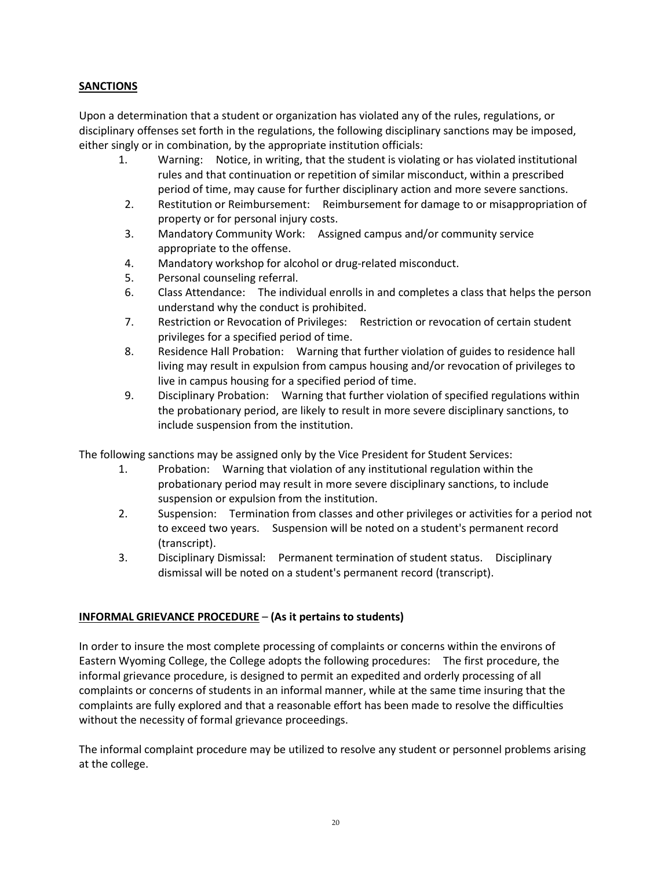# **SANCTIONS**

Upon a determination that a student or organization has violated any of the rules, regulations, or disciplinary offenses set forth in the regulations, the following disciplinary sanctions may be imposed, either singly or in combination, by the appropriate institution officials:

- 1. Warning: Notice, in writing, that the student is violating or has violated institutional rules and that continuation or repetition of similar misconduct, within a prescribed period of time, may cause for further disciplinary action and more severe sanctions.
- 2. Restitution or Reimbursement: Reimbursement for damage to or misappropriation of property or for personal injury costs.
- 3. Mandatory Community Work: Assigned campus and/or community service appropriate to the offense.
- 4. Mandatory workshop for alcohol or drug-related misconduct.
- 5. Personal counseling referral.
- 6. Class Attendance: The individual enrolls in and completes a class that helps the person understand why the conduct is prohibited.
- 7. Restriction or Revocation of Privileges: Restriction or revocation of certain student privileges for a specified period of time.
- 8. Residence Hall Probation: Warning that further violation of guides to residence hall living may result in expulsion from campus housing and/or revocation of privileges to live in campus housing for a specified period of time.
- 9. Disciplinary Probation: Warning that further violation of specified regulations within the probationary period, are likely to result in more severe disciplinary sanctions, to include suspension from the institution.

The following sanctions may be assigned only by the Vice President for Student Services:

- 1. Probation: Warning that violation of any institutional regulation within the probationary period may result in more severe disciplinary sanctions, to include suspension or expulsion from the institution.
- 2. Suspension: Termination from classes and other privileges or activities for a period not to exceed two years. Suspension will be noted on a student's permanent record (transcript).
- 3. Disciplinary Dismissal: Permanent termination of student status. Disciplinary dismissal will be noted on a student's permanent record (transcript).

# **INFORMAL GRIEVANCE PROCEDURE** – **(As it pertains to students)**

In order to insure the most complete processing of complaints or concerns within the environs of Eastern Wyoming College, the College adopts the following procedures: The first procedure, the informal grievance procedure, is designed to permit an expedited and orderly processing of all complaints or concerns of students in an informal manner, while at the same time insuring that the complaints are fully explored and that a reasonable effort has been made to resolve the difficulties without the necessity of formal grievance proceedings.

The informal complaint procedure may be utilized to resolve any student or personnel problems arising at the college.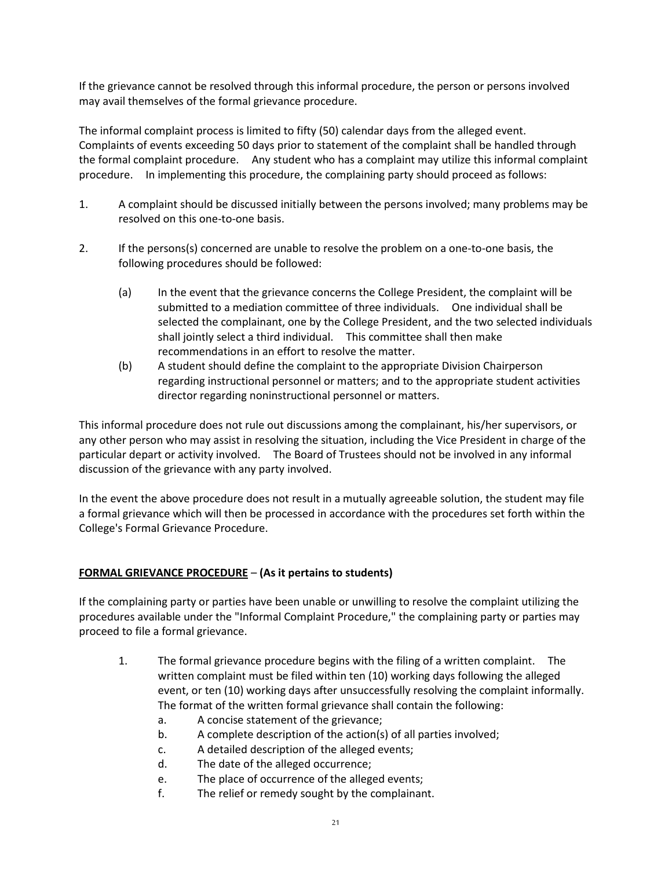If the grievance cannot be resolved through this informal procedure, the person or persons involved may avail themselves of the formal grievance procedure.

The informal complaint process is limited to fifty (50) calendar days from the alleged event. Complaints of events exceeding 50 days prior to statement of the complaint shall be handled through the formal complaint procedure. Any student who has a complaint may utilize this informal complaint procedure. In implementing this procedure, the complaining party should proceed as follows:

- 1. A complaint should be discussed initially between the persons involved; many problems may be resolved on this one-to-one basis.
- 2. If the persons(s) concerned are unable to resolve the problem on a one-to-one basis, the following procedures should be followed:
	- (a) In the event that the grievance concerns the College President, the complaint will be submitted to a mediation committee of three individuals. One individual shall be selected the complainant, one by the College President, and the two selected individuals shall jointly select a third individual. This committee shall then make recommendations in an effort to resolve the matter.
	- (b) A student should define the complaint to the appropriate Division Chairperson regarding instructional personnel or matters; and to the appropriate student activities director regarding noninstructional personnel or matters.

This informal procedure does not rule out discussions among the complainant, his/her supervisors, or any other person who may assist in resolving the situation, including the Vice President in charge of the particular depart or activity involved. The Board of Trustees should not be involved in any informal discussion of the grievance with any party involved.

In the event the above procedure does not result in a mutually agreeable solution, the student may file a formal grievance which will then be processed in accordance with the procedures set forth within the College's Formal Grievance Procedure.

# **FORMAL GRIEVANCE PROCEDURE** – **(As it pertains to students)**

If the complaining party or parties have been unable or unwilling to resolve the complaint utilizing the procedures available under the "Informal Complaint Procedure," the complaining party or parties may proceed to file a formal grievance.

- 1. The formal grievance procedure begins with the filing of a written complaint. The written complaint must be filed within ten (10) working days following the alleged event, or ten (10) working days after unsuccessfully resolving the complaint informally. The format of the written formal grievance shall contain the following:
	- a. A concise statement of the grievance;
	- b. A complete description of the action(s) of all parties involved;
	- c. A detailed description of the alleged events;
	- d. The date of the alleged occurrence;
	- e. The place of occurrence of the alleged events;
	- f. The relief or remedy sought by the complainant.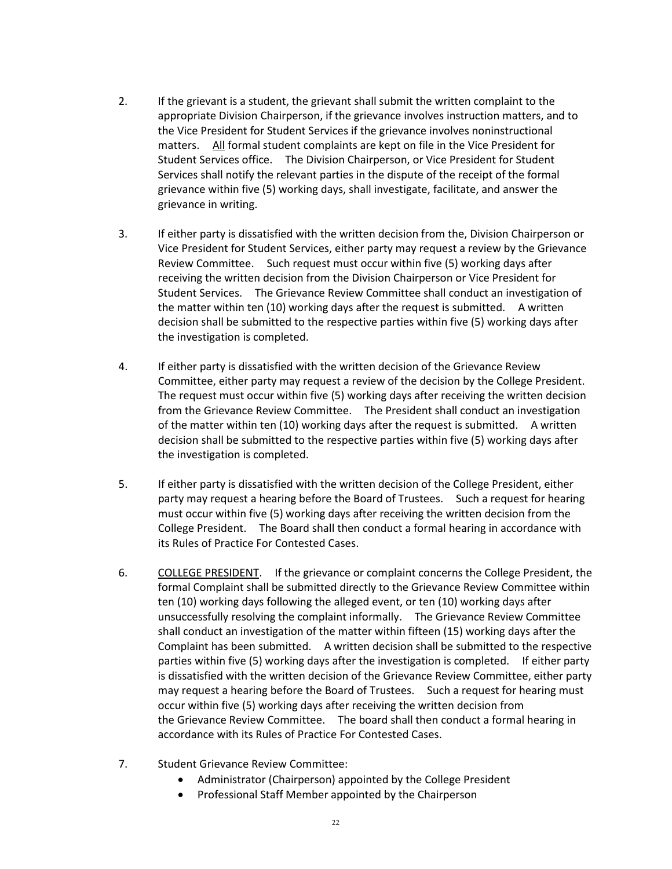- 2. If the grievant is a student, the grievant shall submit the written complaint to the appropriate Division Chairperson, if the grievance involves instruction matters, and to the Vice President for Student Services if the grievance involves noninstructional matters.All formal student complaints are kept on file in the Vice President for Student Services office. The Division Chairperson, or Vice President for Student Services shall notify the relevant parties in the dispute of the receipt of the formal grievance within five (5) working days, shall investigate, facilitate, and answer the grievance in writing.
- 3. If either party is dissatisfied with the written decision from the, Division Chairperson or Vice President for Student Services, either party may request a review by the Grievance Review Committee. Such request must occur within five (5) working days after receiving the written decision from the Division Chairperson or Vice President for Student Services. The Grievance Review Committee shall conduct an investigation of the matter within ten (10) working days after the request is submitted. A written decision shall be submitted to the respective parties within five (5) working days after the investigation is completed.
- 4. If either party is dissatisfied with the written decision of the Grievance Review Committee, either party may request a review of the decision by the College President. The request must occur within five (5) working days after receiving the written decision from the Grievance Review Committee. The President shall conduct an investigation of the matter within ten (10) working days after the request is submitted. A written decision shall be submitted to the respective parties within five (5) working days after the investigation is completed.
- 5. If either party is dissatisfied with the written decision of the College President, either party may request a hearing before the Board of Trustees. Such a request for hearing must occur within five (5) working days after receiving the written decision from the College President. The Board shall then conduct a formal hearing in accordance with its Rules of Practice For Contested Cases.
- 6. COLLEGE PRESIDENT. If the grievance or complaint concerns the College President, the formal Complaint shall be submitted directly to the Grievance Review Committee within ten (10) working days following the alleged event, or ten (10) working days after unsuccessfully resolving the complaint informally. The Grievance Review Committee shall conduct an investigation of the matter within fifteen (15) working days after the Complaint has been submitted. A written decision shall be submitted to the respective parties within five (5) working days after the investigation is completed. If either party is dissatisfied with the written decision of the Grievance Review Committee, either party may request a hearing before the Board of Trustees. Such a request for hearing must occur within five (5) working days after receiving the written decision from the Grievance Review Committee. The board shall then conduct a formal hearing in accordance with its Rules of Practice For Contested Cases.
- 7. Student Grievance Review Committee:
	- Administrator (Chairperson) appointed by the College President
	- Professional Staff Member appointed by the Chairperson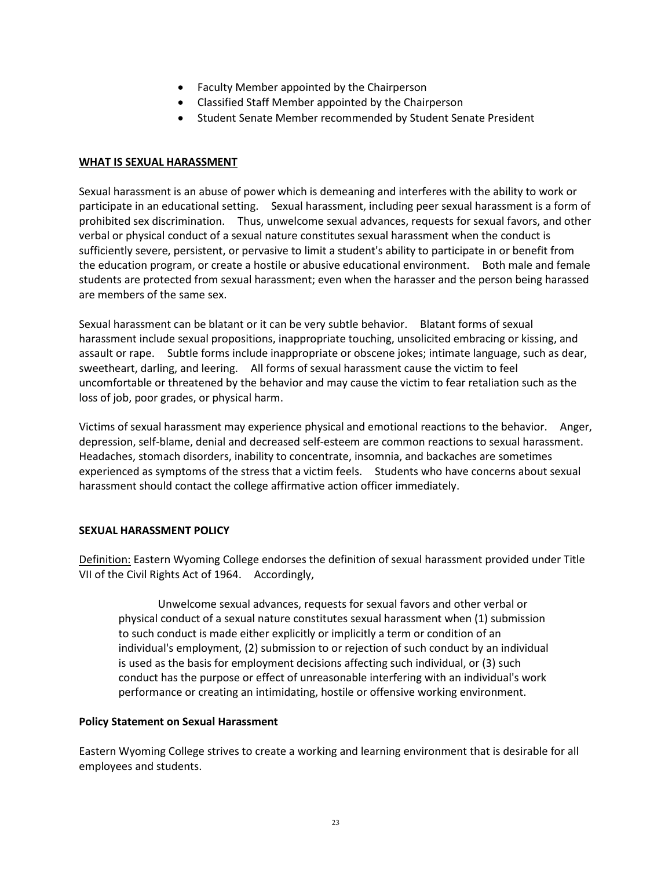- Faculty Member appointed by the Chairperson
- Classified Staff Member appointed by the Chairperson
- Student Senate Member recommended by Student Senate President

### **WHAT IS SEXUAL HARASSMENT**

Sexual harassment is an abuse of power which is demeaning and interferes with the ability to work or participate in an educational setting. Sexual harassment, including peer sexual harassment is a form of prohibited sex discrimination. Thus, unwelcome sexual advances, requests for sexual favors, and other verbal or physical conduct of a sexual nature constitutes sexual harassment when the conduct is sufficiently severe, persistent, or pervasive to limit a student's ability to participate in or benefit from the education program, or create a hostile or abusive educational environment. Both male and female students are protected from sexual harassment; even when the harasser and the person being harassed are members of the same sex.

Sexual harassment can be blatant or it can be very subtle behavior. Blatant forms of sexual harassment include sexual propositions, inappropriate touching, unsolicited embracing or kissing, and assault or rape. Subtle forms include inappropriate or obscene jokes; intimate language, such as dear, sweetheart, darling, and leering. All forms of sexual harassment cause the victim to feel uncomfortable or threatened by the behavior and may cause the victim to fear retaliation such as the loss of job, poor grades, or physical harm.

Victims of sexual harassment may experience physical and emotional reactions to the behavior. Anger, depression, self-blame, denial and decreased self-esteem are common reactions to sexual harassment. Headaches, stomach disorders, inability to concentrate, insomnia, and backaches are sometimes experienced as symptoms of the stress that a victim feels. Students who have concerns about sexual harassment should contact the college affirmative action officer immediately.

### **SEXUAL HARASSMENT POLICY**

Definition: Eastern Wyoming College endorses the definition of sexual harassment provided under Title VII of the Civil Rights Act of 1964. Accordingly,

Unwelcome sexual advances, requests for sexual favors and other verbal or physical conduct of a sexual nature constitutes sexual harassment when (1) submission to such conduct is made either explicitly or implicitly a term or condition of an individual's employment, (2) submission to or rejection of such conduct by an individual is used as the basis for employment decisions affecting such individual, or (3) such conduct has the purpose or effect of unreasonable interfering with an individual's work performance or creating an intimidating, hostile or offensive working environment.

### **Policy Statement on Sexual Harassment**

Eastern Wyoming College strives to create a working and learning environment that is desirable for all employees and students.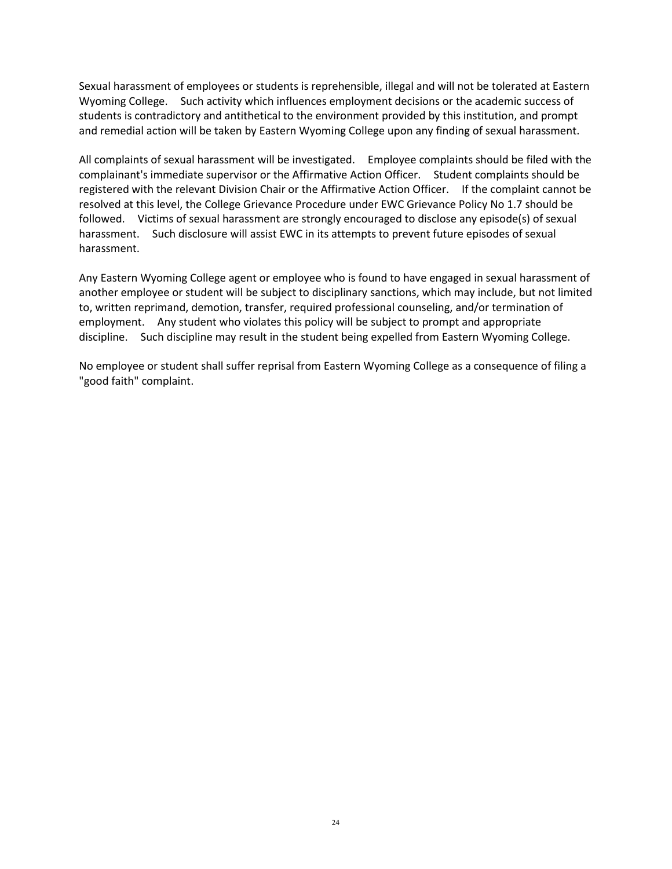Sexual harassment of employees or students is reprehensible, illegal and will not be tolerated at Eastern Wyoming College. Such activity which influences employment decisions or the academic success of students is contradictory and antithetical to the environment provided by this institution, and prompt and remedial action will be taken by Eastern Wyoming College upon any finding of sexual harassment.

All complaints of sexual harassment will be investigated. Employee complaints should be filed with the complainant's immediate supervisor or the Affirmative Action Officer. Student complaints should be registered with the relevant Division Chair or the Affirmative Action Officer. If the complaint cannot be resolved at this level, the College Grievance Procedure under EWC Grievance Policy No 1.7 should be followed. Victims of sexual harassment are strongly encouraged to disclose any episode(s) of sexual harassment. Such disclosure will assist EWC in its attempts to prevent future episodes of sexual harassment.

Any Eastern Wyoming College agent or employee who is found to have engaged in sexual harassment of another employee or student will be subject to disciplinary sanctions, which may include, but not limited to, written reprimand, demotion, transfer, required professional counseling, and/or termination of employment. Any student who violates this policy will be subject to prompt and appropriate discipline. Such discipline may result in the student being expelled from Eastern Wyoming College.

No employee or student shall suffer reprisal from Eastern Wyoming College as a consequence of filing a "good faith" complaint.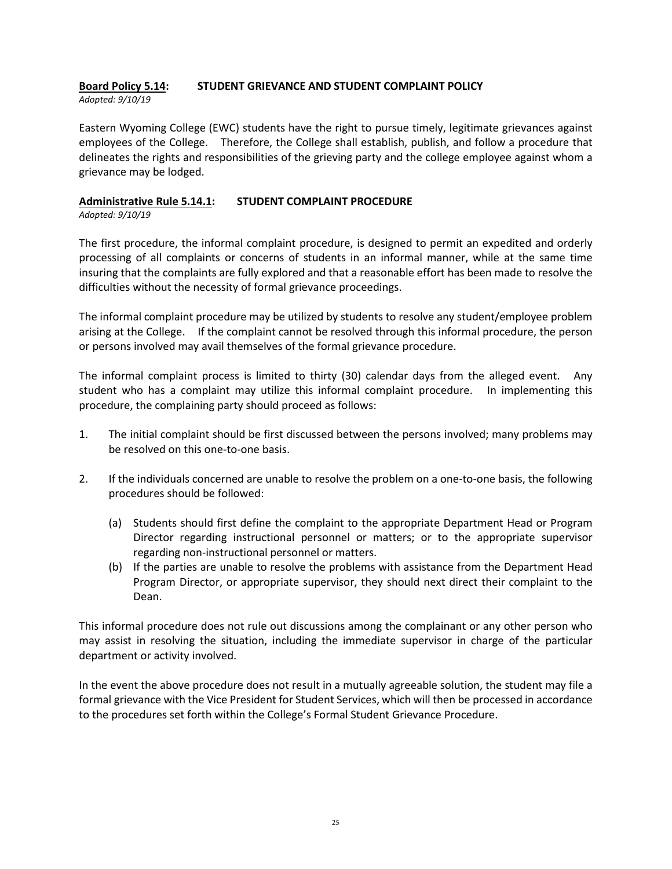### **Board Policy 5.14: STUDENT GRIEVANCE AND STUDENT COMPLAINT POLICY** *Adopted: 9/10/19*

Eastern Wyoming College (EWC) students have the right to pursue timely, legitimate grievances against employees of the College. Therefore, the College shall establish, publish, and follow a procedure that delineates the rights and responsibilities of the grieving party and the college employee against whom a grievance may be lodged.

### **Administrative Rule 5.14.1: STUDENT COMPLAINT PROCEDURE** *Adopted: 9/10/19*

The first procedure, the informal complaint procedure, is designed to permit an expedited and orderly processing of all complaints or concerns of students in an informal manner, while at the same time insuring that the complaints are fully explored and that a reasonable effort has been made to resolve the difficulties without the necessity of formal grievance proceedings.

The informal complaint procedure may be utilized by students to resolve any student/employee problem arising at the College. If the complaint cannot be resolved through this informal procedure, the person or persons involved may avail themselves of the formal grievance procedure.

The informal complaint process is limited to thirty (30) calendar days from the alleged event. Any student who has a complaint may utilize this informal complaint procedure. In implementing this procedure, the complaining party should proceed as follows:

- 1. The initial complaint should be first discussed between the persons involved; many problems may be resolved on this one-to-one basis.
- 2. If the individuals concerned are unable to resolve the problem on a one-to-one basis, the following procedures should be followed:
	- (a) Students should first define the complaint to the appropriate Department Head or Program Director regarding instructional personnel or matters; or to the appropriate supervisor regarding non-instructional personnel or matters.
	- (b) If the parties are unable to resolve the problems with assistance from the Department Head Program Director, or appropriate supervisor, they should next direct their complaint to the Dean.

This informal procedure does not rule out discussions among the complainant or any other person who may assist in resolving the situation, including the immediate supervisor in charge of the particular department or activity involved.

In the event the above procedure does not result in a mutually agreeable solution, the student may file a formal grievance with the Vice President for Student Services, which will then be processed in accordance to the procedures set forth within the College's Formal Student Grievance Procedure.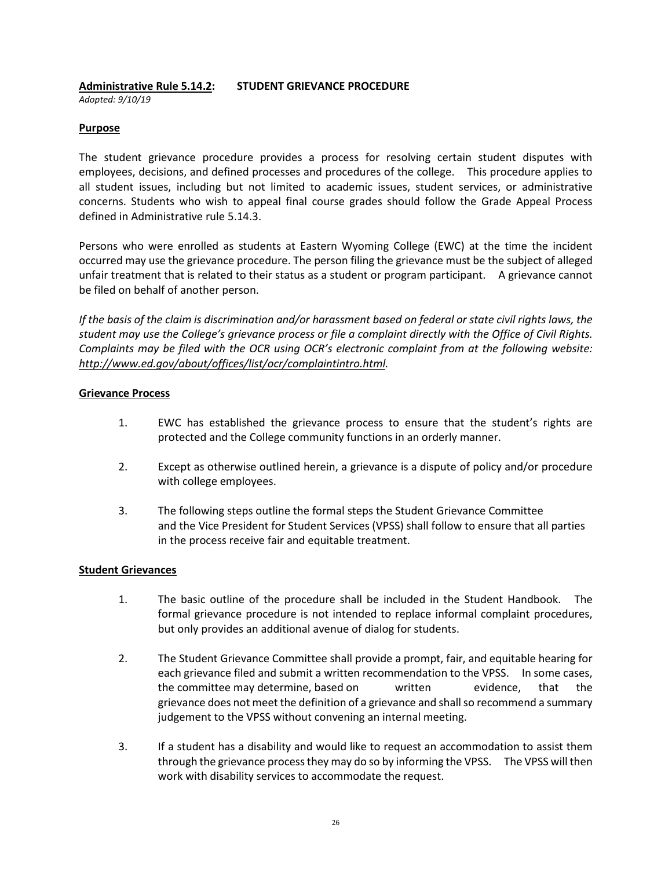# **Administrative Rule 5.14.2: STUDENT GRIEVANCE PROCEDURE**

*Adopted: 9/10/19*

### **Purpose**

The student grievance procedure provides a process for resolving certain student disputes with employees, decisions, and defined processes and procedures of the college. This procedure applies to all student issues, including but not limited to academic issues, student services, or administrative concerns. Students who wish to appeal final course grades should follow the Grade Appeal Process defined in Administrative rule 5.14.3.

Persons who were enrolled as students at Eastern Wyoming College (EWC) at the time the incident occurred may use the grievance procedure. The person filing the grievance must be the subject of alleged unfair treatment that is related to their status as a student or program participant. A grievance cannot be filed on behalf of another person.

*If the basis of the claim is discrimination and/or harassment based on federal or state civil rights laws, the student may use the College's grievance process or file a complaint directly with the Office of Civil Rights. Complaints may be filed with the OCR using OCR's electronic complaint from at the following website: [http://www.ed.gov/about/offices/list/ocr/complaintintro.html.](http://www.ed.gov/about/offices/list/ocr/complaintintro.html)*

### **Grievance Process**

- 1. EWC has established the grievance process to ensure that the student's rights are protected and the College community functions in an orderly manner.
- 2. Except as otherwise outlined herein, a grievance is a dispute of policy and/or procedure with college employees.
- 3. The following steps outline the formal steps the Student Grievance Committee and the Vice President for Student Services (VPSS) shall follow to ensure that all parties in the process receive fair and equitable treatment.

### **Student Grievances**

- 1. The basic outline of the procedure shall be included in the Student Handbook. The formal grievance procedure is not intended to replace informal complaint procedures, but only provides an additional avenue of dialog for students.
- 2. The Student Grievance Committee shall provide a prompt, fair, and equitable hearing for each grievance filed and submit a written recommendation to the VPSS. In some cases, the committee may determine, based on written evidence, that the grievance does not meet the definition of a grievance and shall so recommend a summary judgement to the VPSS without convening an internal meeting.
- 3. If a student has a disability and would like to request an accommodation to assist them through the grievance process they may do so by informing the VPSS. The VPSS will then work with disability services to accommodate the request.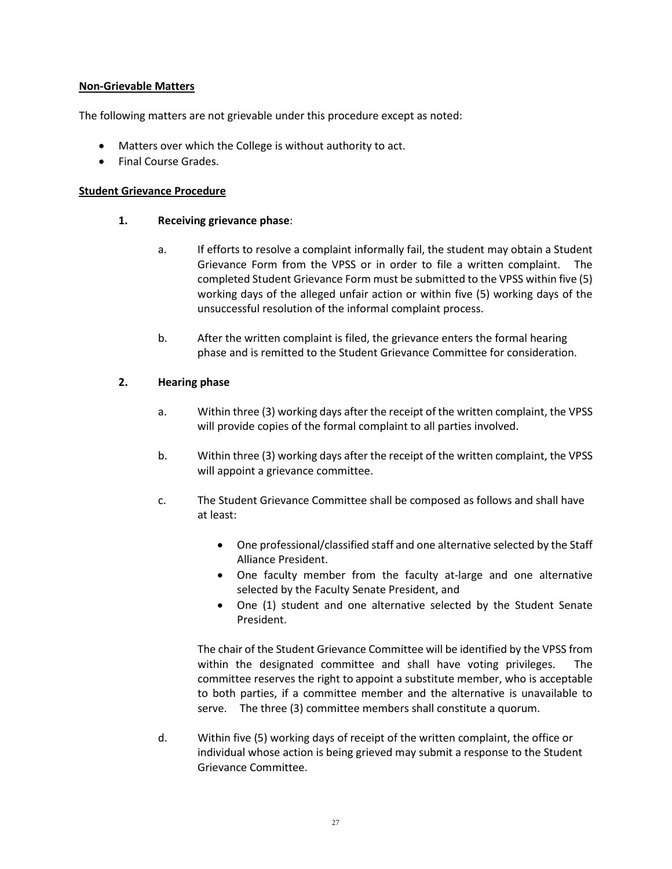### **Non-Grievable Matters**

The following matters are not grievable under this procedure except as noted:

- Matters over which the College is without authority to act.
- Final Course Grades.

### **Student Grievance Procedure**

### **1. Receiving grievance phase**:

- a. If efforts to resolve a complaint informally fail, the student may obtain a Student Grievance Form from the VPSS or in order to file a written complaint. The completed Student Grievance Form must be submitted to the VPSS within five (5) working days of the alleged unfair action or within five (5) working days of the unsuccessful resolution of the informal complaint process.
- b. After the written complaint is filed, the grievance enters the formal hearing phase and is remitted to the Student Grievance Committee for consideration.

### **2. Hearing phase**

- a. Within three (3) working days after the receipt of the written complaint, the VPSS will provide copies of the formal complaint to all parties involved.
- b. Within three (3) working days after the receipt of the written complaint, the VPSS will appoint a grievance committee.
- c. The Student Grievance Committee shall be composed as follows and shall have at least:
	- One professional/classified staff and one alternative selected by the Staff Alliance President.
	- One faculty member from the faculty at-large and one alternative selected by the Faculty Senate President, and
	- One (1) student and one alternative selected by the Student Senate President.

The chair of the Student Grievance Committee will be identified by the VPSS from within the designated committee and shall have voting privileges. The committee reserves the right to appoint a substitute member, who is acceptable to both parties, if a committee member and the alternative is unavailable to serve. The three (3) committee members shall constitute a quorum.

d. Within five (5) working days of receipt of the written complaint, the office or individual whose action is being grieved may submit a response to the Student Grievance Committee.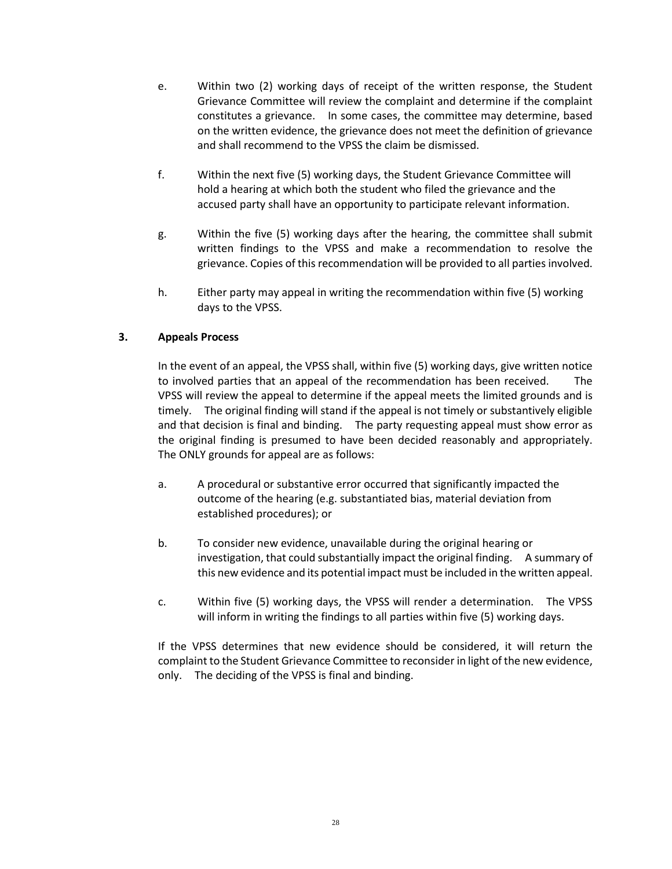- e. Within two (2) working days of receipt of the written response, the Student Grievance Committee will review the complaint and determine if the complaint constitutes a grievance. In some cases, the committee may determine, based on the written evidence, the grievance does not meet the definition of grievance and shall recommend to the VPSS the claim be dismissed.
- f. Within the next five (5) working days, the Student Grievance Committee will hold a hearing at which both the student who filed the grievance and the accused party shall have an opportunity to participate relevant information.
- g. Within the five (5) working days after the hearing, the committee shall submit written findings to the VPSS and make a recommendation to resolve the grievance. Copies of this recommendation will be provided to all parties involved.
- h. Either party may appeal in writing the recommendation within five (5) working days to the VPSS.

# **3. Appeals Process**

In the event of an appeal, the VPSS shall, within five (5) working days, give written notice to involved parties that an appeal of the recommendation has been received. The VPSS will review the appeal to determine if the appeal meets the limited grounds and is timely. The original finding will stand if the appeal is not timely or substantively eligible and that decision is final and binding. The party requesting appeal must show error as the original finding is presumed to have been decided reasonably and appropriately. The ONLY grounds for appeal are as follows:

- a. A procedural or substantive error occurred that significantly impacted the outcome of the hearing (e.g. substantiated bias, material deviation from established procedures); or
- b. To consider new evidence, unavailable during the original hearing or investigation, that could substantially impact the original finding. A summary of this new evidence and its potential impact must be included in the written appeal.
- c. Within five (5) working days, the VPSS will render a determination. The VPSS will inform in writing the findings to all parties within five (5) working days.

If the VPSS determines that new evidence should be considered, it will return the complaint to the Student Grievance Committee to reconsider in light of the new evidence, only. The deciding of the VPSS is final and binding.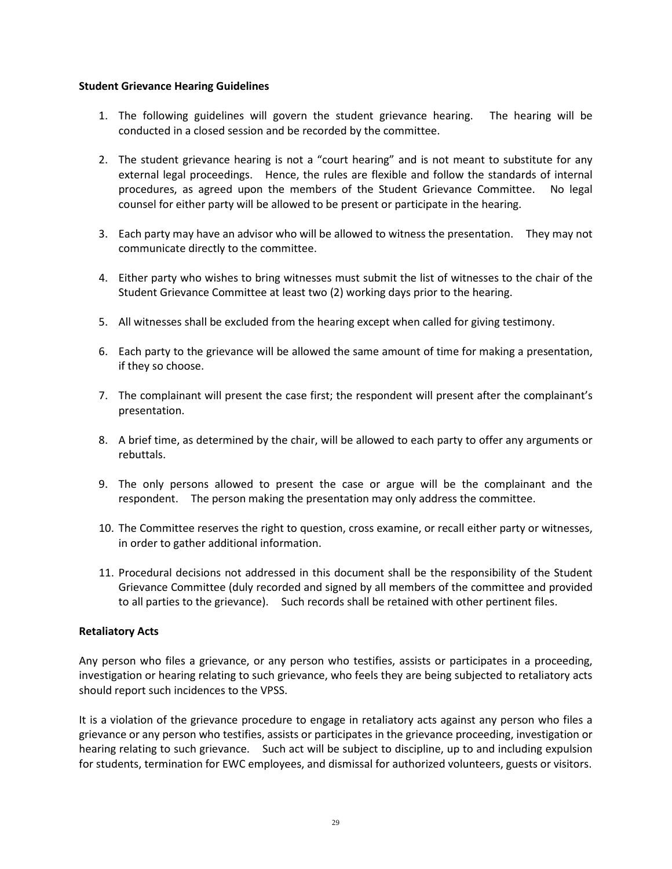### **Student Grievance Hearing Guidelines**

- 1. The following guidelines will govern the student grievance hearing. The hearing will be conducted in a closed session and be recorded by the committee.
- 2. The student grievance hearing is not a "court hearing" and is not meant to substitute for any external legal proceedings. Hence, the rules are flexible and follow the standards of internal procedures, as agreed upon the members of the Student Grievance Committee. No legal counsel for either party will be allowed to be present or participate in the hearing.
- 3. Each party may have an advisor who will be allowed to witness the presentation. They may not communicate directly to the committee.
- 4. Either party who wishes to bring witnesses must submit the list of witnesses to the chair of the Student Grievance Committee at least two (2) working days prior to the hearing.
- 5. All witnesses shall be excluded from the hearing except when called for giving testimony.
- 6. Each party to the grievance will be allowed the same amount of time for making a presentation, if they so choose.
- 7. The complainant will present the case first; the respondent will present after the complainant's presentation.
- 8. A brief time, as determined by the chair, will be allowed to each party to offer any arguments or rebuttals.
- 9. The only persons allowed to present the case or argue will be the complainant and the respondent. The person making the presentation may only address the committee.
- 10. The Committee reserves the right to question, cross examine, or recall either party or witnesses, in order to gather additional information.
- 11. Procedural decisions not addressed in this document shall be the responsibility of the Student Grievance Committee (duly recorded and signed by all members of the committee and provided to all parties to the grievance). Such records shall be retained with other pertinent files.

### **Retaliatory Acts**

Any person who files a grievance, or any person who testifies, assists or participates in a proceeding, investigation or hearing relating to such grievance, who feels they are being subjected to retaliatory acts should report such incidences to the VPSS.

It is a violation of the grievance procedure to engage in retaliatory acts against any person who files a grievance or any person who testifies, assists or participates in the grievance proceeding, investigation or hearing relating to such grievance. Such act will be subject to discipline, up to and including expulsion for students, termination for EWC employees, and dismissal for authorized volunteers, guests or visitors.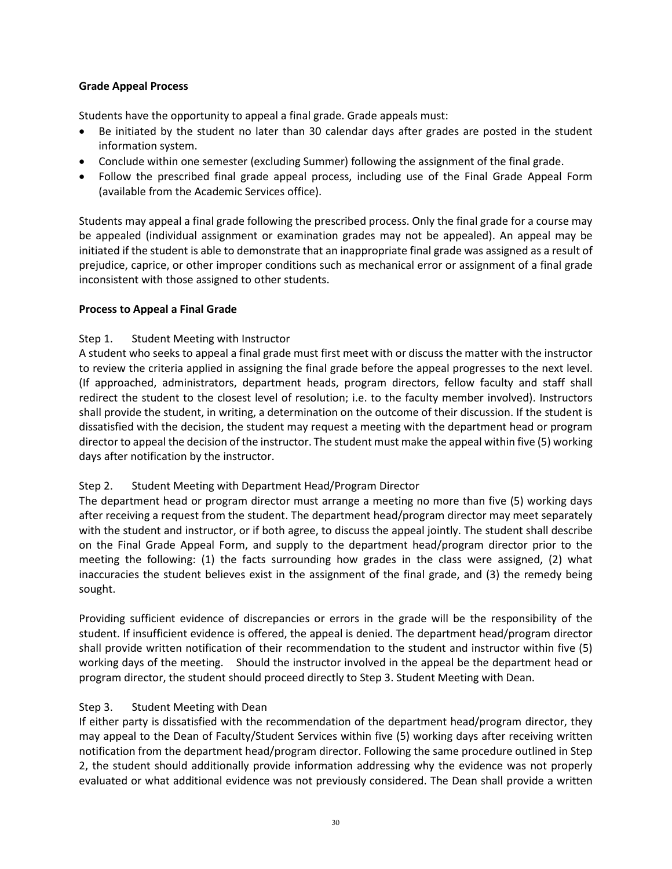# **Grade Appeal Process**

Students have the opportunity to appeal a final grade. Grade appeals must:

- Be initiated by the student no later than 30 calendar days after grades are posted in the student information system.
- Conclude within one semester (excluding Summer) following the assignment of the final grade.
- Follow the prescribed final grade appeal process, including use of the Final Grade Appeal Form (available from the Academic Services office).

Students may appeal a final grade following the prescribed process. Only the final grade for a course may be appealed (individual assignment or examination grades may not be appealed). An appeal may be initiated if the student is able to demonstrate that an inappropriate final grade was assigned as a result of prejudice, caprice, or other improper conditions such as mechanical error or assignment of a final grade inconsistent with those assigned to other students.

# **Process to Appeal a Final Grade**

# Step 1. Student Meeting with Instructor

A student who seeks to appeal a final grade must first meet with or discuss the matter with the instructor to review the criteria applied in assigning the final grade before the appeal progresses to the next level. (If approached, administrators, department heads, program directors, fellow faculty and staff shall redirect the student to the closest level of resolution; i.e. to the faculty member involved). Instructors shall provide the student, in writing, a determination on the outcome of their discussion. If the student is dissatisfied with the decision, the student may request a meeting with the department head or program director to appeal the decision of the instructor. The student must make the appeal within five (5) working days after notification by the instructor.

### Step 2. Student Meeting with Department Head/Program Director

The department head or program director must arrange a meeting no more than five (5) working days after receiving a request from the student. The department head/program director may meet separately with the student and instructor, or if both agree, to discuss the appeal jointly. The student shall describe on the Final Grade Appeal Form, and supply to the department head/program director prior to the meeting the following: (1) the facts surrounding how grades in the class were assigned, (2) what inaccuracies the student believes exist in the assignment of the final grade, and (3) the remedy being sought.

Providing sufficient evidence of discrepancies or errors in the grade will be the responsibility of the student. If insufficient evidence is offered, the appeal is denied. The department head/program director shall provide written notification of their recommendation to the student and instructor within five (5) working days of the meeting. Should the instructor involved in the appeal be the department head or program director, the student should proceed directly to Step 3. Student Meeting with Dean.

# Step 3. Student Meeting with Dean

If either party is dissatisfied with the recommendation of the department head/program director, they may appeal to the Dean of Faculty/Student Services within five (5) working days after receiving written notification from the department head/program director. Following the same procedure outlined in Step 2, the student should additionally provide information addressing why the evidence was not properly evaluated or what additional evidence was not previously considered. The Dean shall provide a written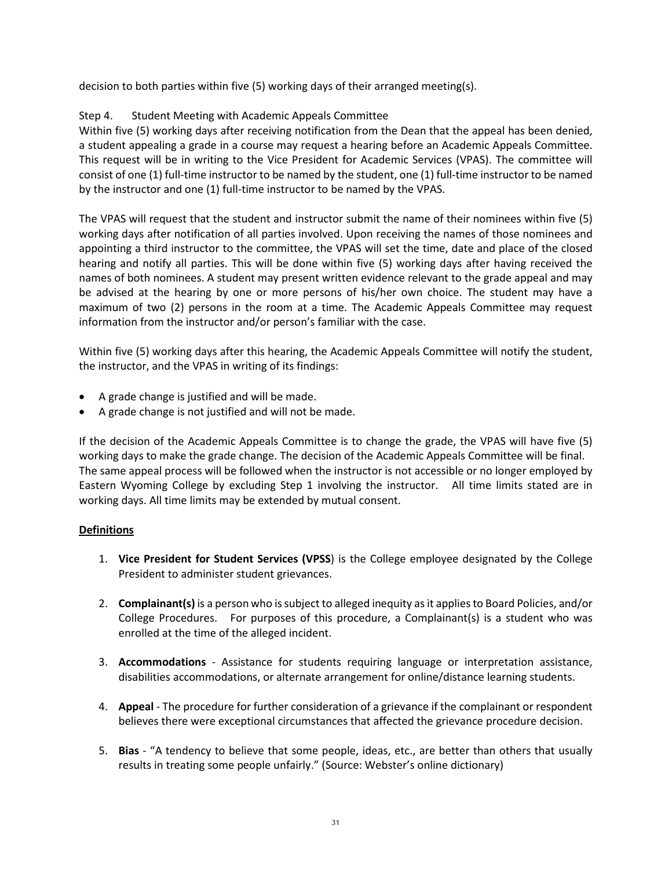decision to both parties within five (5) working days of their arranged meeting(s).

# Step 4. Student Meeting with Academic Appeals Committee

Within five (5) working days after receiving notification from the Dean that the appeal has been denied, a student appealing a grade in a course may request a hearing before an Academic Appeals Committee. This request will be in writing to the Vice President for Academic Services (VPAS). The committee will consist of one (1) full-time instructor to be named by the student, one (1) full-time instructor to be named by the instructor and one (1) full-time instructor to be named by the VPAS.

The VPAS will request that the student and instructor submit the name of their nominees within five (5) working days after notification of all parties involved. Upon receiving the names of those nominees and appointing a third instructor to the committee, the VPAS will set the time, date and place of the closed hearing and notify all parties. This will be done within five (5) working days after having received the names of both nominees. A student may present written evidence relevant to the grade appeal and may be advised at the hearing by one or more persons of his/her own choice. The student may have a maximum of two (2) persons in the room at a time. The Academic Appeals Committee may request information from the instructor and/or person's familiar with the case.

Within five (5) working days after this hearing, the Academic Appeals Committee will notify the student, the instructor, and the VPAS in writing of its findings:

- A grade change is justified and will be made.
- A grade change is not justified and will not be made.

If the decision of the Academic Appeals Committee is to change the grade, the VPAS will have five (5) working days to make the grade change. The decision of the Academic Appeals Committee will be final. The same appeal process will be followed when the instructor is not accessible or no longer employed by Eastern Wyoming College by excluding Step 1 involving the instructor. All time limits stated are in working days. All time limits may be extended by mutual consent.

### **Definitions**

- 1. **Vice President for Student Services (VPSS**) is the College employee designated by the College President to administer student grievances.
- 2. **Complainant(s)** is a person who is subject to alleged inequity as it applies to Board Policies, and/or College Procedures. For purposes of this procedure, a Complainant(s) is a student who was enrolled at the time of the alleged incident.
- 3. **Accommodations** Assistance for students requiring language or interpretation assistance, disabilities accommodations, or alternate arrangement for online/distance learning students.
- 4. **Appeal** The procedure for further consideration of a grievance if the complainant or respondent believes there were exceptional circumstances that affected the grievance procedure decision.
- 5. **Bias** "A tendency to believe that some people, ideas, etc., are better than others that usually results in treating some people unfairly." (Source: Webster's online dictionary)